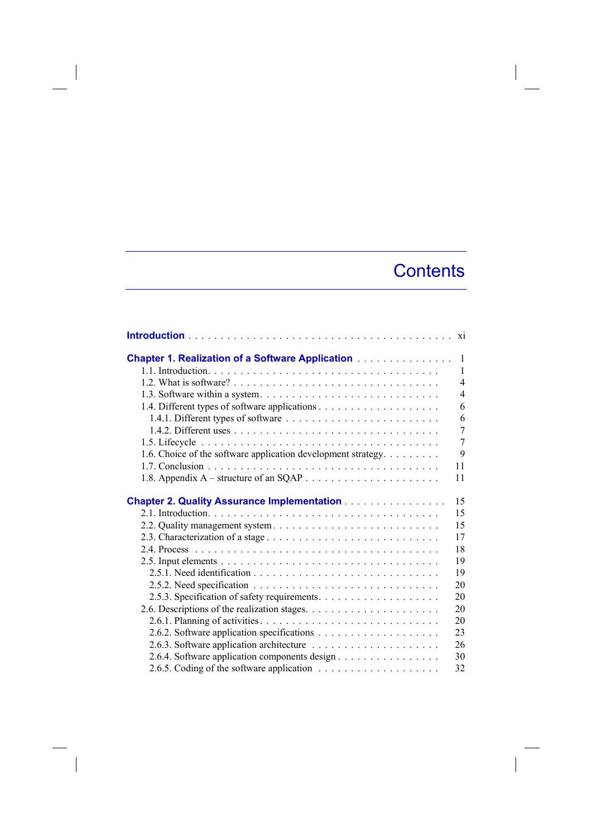## **Contents**

| <b>Chapter 1. Realization of a Software Application</b>       | -1                       |
|---------------------------------------------------------------|--------------------------|
|                                                               | $\mathbf{1}$             |
|                                                               | $\overline{\mathcal{A}}$ |
|                                                               | $\overline{\mathcal{L}}$ |
|                                                               | 6                        |
| 1.4.1. Different types of software                            | 6                        |
|                                                               | $\overline{7}$           |
|                                                               | $\overline{7}$           |
| 1.6. Choice of the software application development strategy. | 9                        |
|                                                               | 11                       |
|                                                               | 11                       |
| Chapter 2. Quality Assurance Implementation                   | 15                       |
|                                                               | 15                       |
|                                                               | 15                       |
| 2.3. Characterization of a stage                              | 17                       |
|                                                               | 18                       |
|                                                               | 19                       |
|                                                               | 19                       |
|                                                               | 20                       |
|                                                               | 20                       |
|                                                               | 20                       |
|                                                               | 20                       |
|                                                               | 23                       |
|                                                               | 26                       |
| 2.6.4. Software application components design                 | 30                       |
|                                                               | 32                       |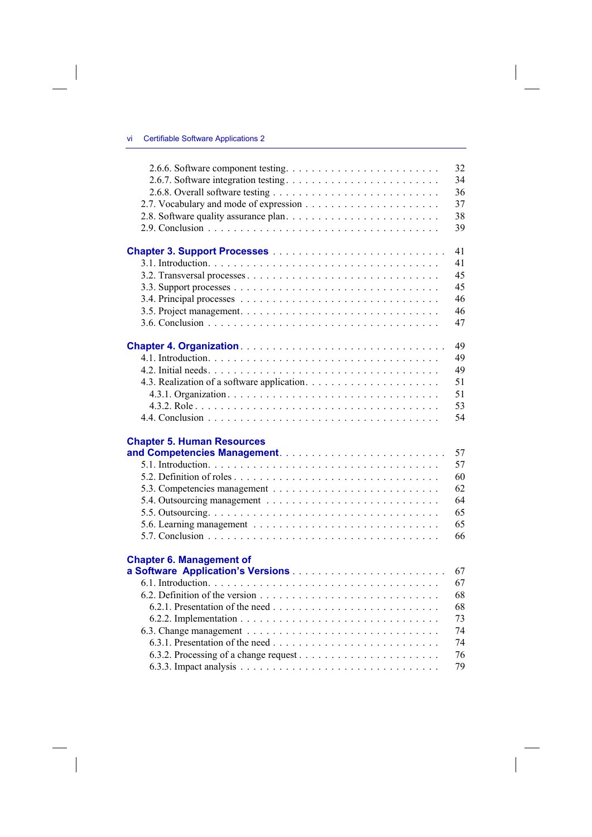$\overline{\phantom{a}}$ 

 $\begin{array}{c} \hline \end{array}$ 

|                                   | 32 |
|-----------------------------------|----|
|                                   | 34 |
|                                   | 36 |
|                                   | 37 |
|                                   | 38 |
|                                   | 39 |
|                                   | 41 |
|                                   | 41 |
|                                   | 45 |
|                                   | 45 |
|                                   | 46 |
|                                   | 46 |
|                                   | 47 |
|                                   | 49 |
|                                   | 49 |
|                                   | 49 |
|                                   | 51 |
|                                   | 51 |
|                                   | 53 |
|                                   | 54 |
| <b>Chapter 5. Human Resources</b> |    |
|                                   | 57 |
|                                   | 57 |
|                                   | 60 |
|                                   | 62 |
|                                   | 64 |
|                                   | 65 |
|                                   | 65 |
|                                   | 66 |
| <b>Chapter 6. Management of</b>   |    |
|                                   | 67 |
|                                   | 67 |
|                                   | 68 |
|                                   | 68 |
|                                   | 73 |
|                                   | 74 |
|                                   | 74 |
|                                   | 76 |
|                                   | 79 |

 $\overline{\phantom{a}}$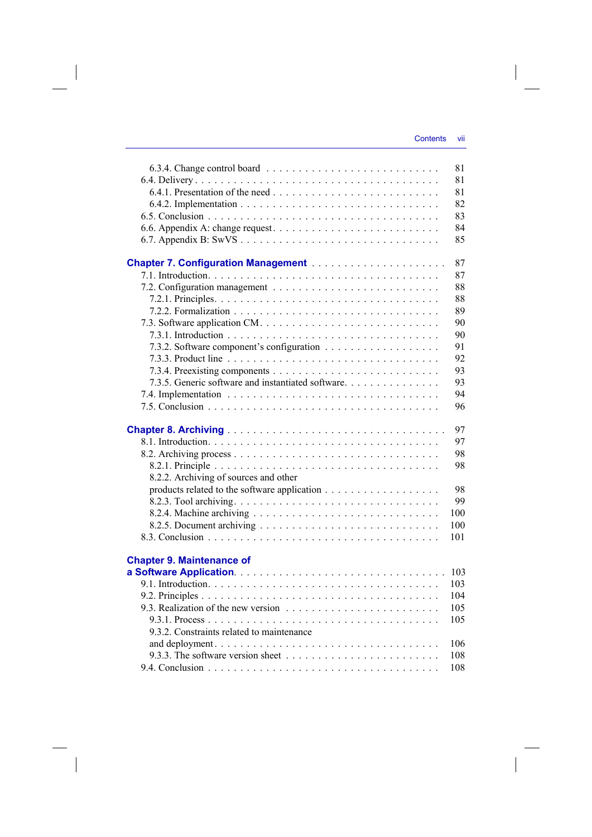$\overline{\phantom{a}}$ 

| 81<br>81<br>82<br>83<br>84<br>85<br>87<br>87<br>88<br>88<br>89<br>90<br>90<br>91<br>92<br>93<br>7.3.5. Generic software and instantiated software.<br>93<br>94<br>96<br>97<br>97<br>98<br>98<br>8.2.2. Archiving of sources and other<br>98<br>99<br>100<br>100<br>101<br><b>Chapter 9. Maintenance of</b><br>103<br>103<br>104<br>105<br>105 |                                           | 81 |
|-----------------------------------------------------------------------------------------------------------------------------------------------------------------------------------------------------------------------------------------------------------------------------------------------------------------------------------------------|-------------------------------------------|----|
|                                                                                                                                                                                                                                                                                                                                               |                                           |    |
|                                                                                                                                                                                                                                                                                                                                               |                                           |    |
|                                                                                                                                                                                                                                                                                                                                               |                                           |    |
|                                                                                                                                                                                                                                                                                                                                               |                                           |    |
|                                                                                                                                                                                                                                                                                                                                               |                                           |    |
|                                                                                                                                                                                                                                                                                                                                               |                                           |    |
|                                                                                                                                                                                                                                                                                                                                               |                                           |    |
|                                                                                                                                                                                                                                                                                                                                               |                                           |    |
|                                                                                                                                                                                                                                                                                                                                               |                                           |    |
|                                                                                                                                                                                                                                                                                                                                               |                                           |    |
|                                                                                                                                                                                                                                                                                                                                               |                                           |    |
|                                                                                                                                                                                                                                                                                                                                               |                                           |    |
|                                                                                                                                                                                                                                                                                                                                               |                                           |    |
|                                                                                                                                                                                                                                                                                                                                               |                                           |    |
|                                                                                                                                                                                                                                                                                                                                               |                                           |    |
|                                                                                                                                                                                                                                                                                                                                               |                                           |    |
|                                                                                                                                                                                                                                                                                                                                               |                                           |    |
|                                                                                                                                                                                                                                                                                                                                               |                                           |    |
|                                                                                                                                                                                                                                                                                                                                               |                                           |    |
|                                                                                                                                                                                                                                                                                                                                               |                                           |    |
|                                                                                                                                                                                                                                                                                                                                               |                                           |    |
|                                                                                                                                                                                                                                                                                                                                               |                                           |    |
|                                                                                                                                                                                                                                                                                                                                               |                                           |    |
|                                                                                                                                                                                                                                                                                                                                               |                                           |    |
|                                                                                                                                                                                                                                                                                                                                               |                                           |    |
|                                                                                                                                                                                                                                                                                                                                               |                                           |    |
|                                                                                                                                                                                                                                                                                                                                               |                                           |    |
|                                                                                                                                                                                                                                                                                                                                               |                                           |    |
|                                                                                                                                                                                                                                                                                                                                               |                                           |    |
|                                                                                                                                                                                                                                                                                                                                               |                                           |    |
|                                                                                                                                                                                                                                                                                                                                               |                                           |    |
|                                                                                                                                                                                                                                                                                                                                               |                                           |    |
|                                                                                                                                                                                                                                                                                                                                               |                                           |    |
|                                                                                                                                                                                                                                                                                                                                               |                                           |    |
|                                                                                                                                                                                                                                                                                                                                               |                                           |    |
|                                                                                                                                                                                                                                                                                                                                               |                                           |    |
|                                                                                                                                                                                                                                                                                                                                               |                                           |    |
|                                                                                                                                                                                                                                                                                                                                               |                                           |    |
|                                                                                                                                                                                                                                                                                                                                               | 9.3.2. Constraints related to maintenance |    |
| 106                                                                                                                                                                                                                                                                                                                                           |                                           |    |
| 108                                                                                                                                                                                                                                                                                                                                           |                                           |    |
| 108                                                                                                                                                                                                                                                                                                                                           |                                           |    |

 $\overline{\phantom{a}}$ 

 $\mathcal{L}^{\mathcal{L}}$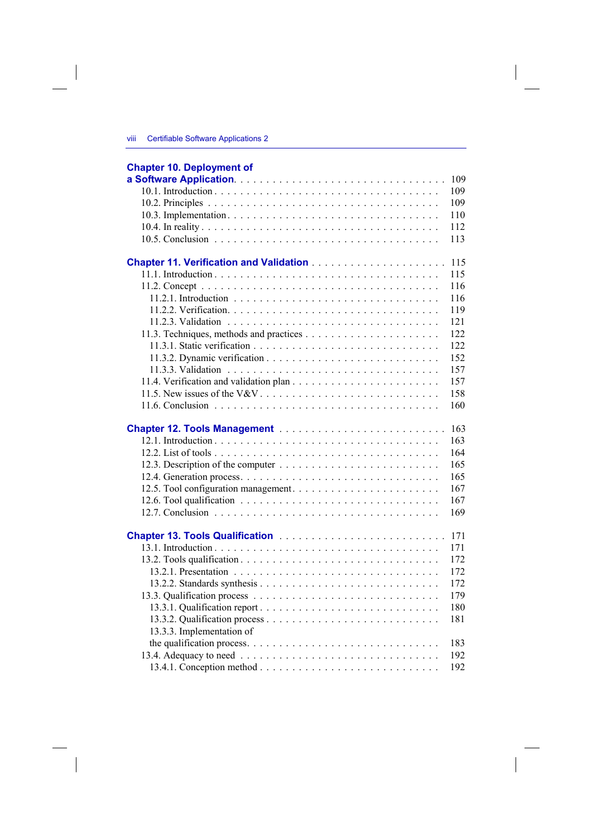## **Chapter 10. Deployment of**

 $\overline{\phantom{a}}$ 

|                                 | 109 |
|---------------------------------|-----|
|                                 | 109 |
|                                 | 109 |
|                                 | 110 |
|                                 | 112 |
|                                 | 113 |
|                                 |     |
|                                 | 115 |
|                                 | 115 |
|                                 | 116 |
|                                 | 116 |
|                                 | 119 |
|                                 | 121 |
|                                 | 122 |
|                                 | 122 |
|                                 | 152 |
|                                 | 157 |
|                                 | 157 |
|                                 | 158 |
|                                 | 160 |
|                                 |     |
|                                 | 163 |
|                                 | 163 |
|                                 | 164 |
|                                 | 165 |
|                                 | 165 |
|                                 | 167 |
|                                 | 167 |
|                                 | 169 |
|                                 |     |
| Chapter 13. Tools Qualification | 171 |
|                                 | 171 |
|                                 | 172 |
|                                 | 172 |
|                                 | 172 |
|                                 | 179 |
|                                 | 180 |
|                                 | 181 |
| 13.3.3. Implementation of       |     |
|                                 | 183 |
|                                 | 192 |
|                                 | 192 |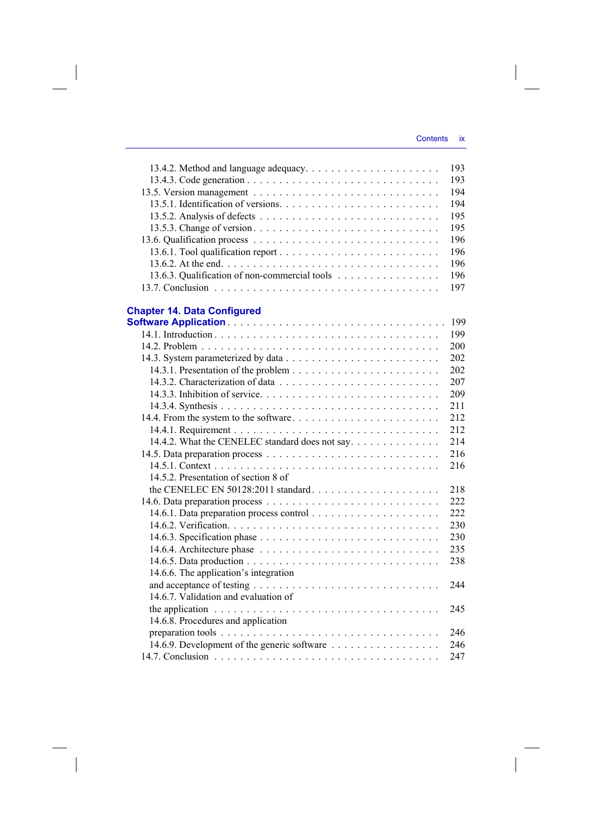|                                                                                                | 193  |
|------------------------------------------------------------------------------------------------|------|
|                                                                                                | 193  |
|                                                                                                | 194  |
|                                                                                                | 194  |
|                                                                                                | 195  |
|                                                                                                | 195  |
|                                                                                                | 196  |
|                                                                                                | 196  |
|                                                                                                | 196  |
| 13.6.3. Qualification of non-commercial tools                                                  | 196  |
|                                                                                                | 197  |
| <b>Chapter 14. Data Configured</b>                                                             |      |
|                                                                                                | 199  |
|                                                                                                | 199  |
|                                                                                                | 200  |
|                                                                                                | 202  |
|                                                                                                | 202  |
|                                                                                                | 207  |
|                                                                                                | 209  |
|                                                                                                | 211  |
|                                                                                                | 212  |
|                                                                                                | 212  |
| 14.4.2. What the CENELEC standard does not say.                                                | 214  |
|                                                                                                | 216  |
|                                                                                                | 216  |
| 14.5.2. Presentation of section 8 of                                                           |      |
| the CENELEC EN 50128:2011 standard                                                             | 218  |
|                                                                                                | 222  |
|                                                                                                | 222  |
|                                                                                                | 230  |
|                                                                                                | 230  |
|                                                                                                | 235  |
|                                                                                                | 238  |
| 14.6.6. The application's integration                                                          |      |
|                                                                                                | 2.44 |
| 14.6.7. Validation and evaluation of                                                           |      |
| the application $\ldots \ldots \ldots \ldots \ldots \ldots \ldots \ldots \ldots \ldots \ldots$ | 245  |
| 14.6.8. Procedures and application                                                             |      |
|                                                                                                | 246  |
|                                                                                                | 246  |
|                                                                                                | 247  |